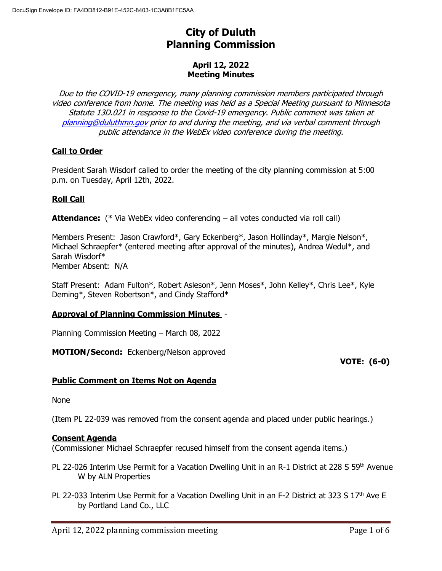# **City of Duluth Planning Commission**

## **April 12, 2022 Meeting Minutes**

Due to the COVID-19 emergency, many planning commission members participated through video conference from home. The meeting was held as a Special Meeting pursuant to Minnesota Statute 13D.021 in response to the Covid-19 emergency. Public comment was taken at [planning@duluthmn.gov](mailto:planning@duluthmn.gov) prior to and during the meeting, and via verbal comment through public attendance in the WebEx video conference during the meeting.

# **Call to Order**

President Sarah Wisdorf called to order the meeting of the city planning commission at 5:00 p.m. on Tuesday, April 12th, 2022.

# **Roll Call**

**Attendance:** (\* Via WebEx video conferencing – all votes conducted via roll call)

Members Present: Jason Crawford\*, Gary Eckenberg\*, Jason Hollinday\*, Margie Nelson\*, Michael Schraepfer\* (entered meeting after approval of the minutes), Andrea Wedul\*, and Sarah Wisdorf\* Member Absent: N/A

Staff Present: Adam Fulton\*, Robert Asleson\*, Jenn Moses\*, John Kelley\*, Chris Lee\*, Kyle Deming\*, Steven Robertson\*, and Cindy Stafford\*

## **Approval of Planning Commission Minutes** -

Planning Commission Meeting – March 08, 2022

**MOTION/Second:** Eckenberg/Nelson approved

## **VOTE: (6-0)**

## **Public Comment on Items Not on Agenda**

None

(Item PL 22-039 was removed from the consent agenda and placed under public hearings.)

#### **Consent Agenda**

(Commissioner Michael Schraepfer recused himself from the consent agenda items.)

- PL 22-026 Interim Use Permit for a Vacation Dwelling Unit in an R-1 District at 228 S 59<sup>th</sup> Avenue W by ALN Properties
- PL 22-033 Interim Use Permit for a Vacation Dwelling Unit in an F-2 District at 323 S 17<sup>th</sup> Ave E by Portland Land Co., LLC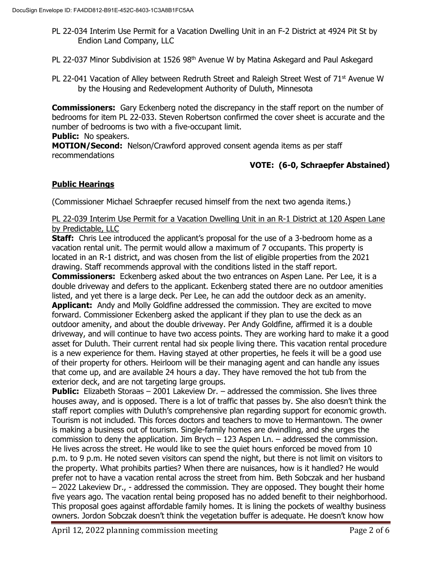- PL 22-034 Interim Use Permit for a Vacation Dwelling Unit in an F-2 District at 4924 Pit St by Endion Land Company, LLC
- PL 22-037 Minor Subdivision at 1526 98<sup>th</sup> Avenue W by Matina Askegard and Paul Askegard
- PL 22-041 Vacation of Alley between Redruth Street and Raleigh Street West of  $71<sup>st</sup>$  Avenue W by the Housing and Redevelopment Authority of Duluth, Minnesota

**Commissioners:** Gary Eckenberg noted the discrepancy in the staff report on the number of bedrooms for item PL 22-033. Steven Robertson confirmed the cover sheet is accurate and the number of bedrooms is two with a five-occupant limit.

**Public:** No speakers.

**MOTION/Second:** Nelson/Crawford approved consent agenda items as per staff recommendations

# **VOTE: (6-0, Schraepfer Abstained)**

## **Public Hearings**

(Commissioner Michael Schraepfer recused himself from the next two agenda items.)

#### PL 22-039 Interim Use Permit for a Vacation Dwelling Unit in an R-1 District at 120 Aspen Lane by Predictable, LLC

**Staff:** Chris Lee introduced the applicant's proposal for the use of a 3-bedroom home as a vacation rental unit. The permit would allow a maximum of 7 occupants. This property is located in an R-1 district, and was chosen from the list of eligible properties from the 2021 drawing. Staff recommends approval with the conditions listed in the staff report.

**Commissioners:** Eckenberg asked about the two entrances on Aspen Lane. Per Lee, it is a double driveway and defers to the applicant. Eckenberg stated there are no outdoor amenities listed, and yet there is a large deck. Per Lee, he can add the outdoor deck as an amenity. Applicant: Andy and Molly Goldfine addressed the commission. They are excited to move forward. Commissioner Eckenberg asked the applicant if they plan to use the deck as an outdoor amenity, and about the double driveway. Per Andy Goldfine, affirmed it is a double driveway, and will continue to have two access points. They are working hard to make it a good asset for Duluth. Their current rental had six people living there. This vacation rental procedure is a new experience for them. Having stayed at other properties, he feels it will be a good use of their property for others. Heirloom will be their managing agent and can handle any issues that come up, and are available 24 hours a day. They have removed the hot tub from the exterior deck, and are not targeting large groups.

**Public:** Elizabeth Storaas – 2001 Lakeview Dr. – addressed the commission. She lives three houses away, and is opposed. There is a lot of traffic that passes by. She also doesn't think the staff report complies with Duluth's comprehensive plan regarding support for economic growth. Tourism is not included. This forces doctors and teachers to move to Hermantown. The owner is making a business out of tourism. Single-family homes are dwindling, and she urges the commission to deny the application. Jim Brych – 123 Aspen Ln. – addressed the commission. He lives across the street. He would like to see the quiet hours enforced be moved from 10 p.m. to 9 p.m. He noted seven visitors can spend the night, but there is not limit on visitors to the property. What prohibits parties? When there are nuisances, how is it handled? He would prefer not to have a vacation rental across the street from him. Beth Sobczak and her husband – 2022 Lakeview Dr., - addressed the commission. They are opposed. They bought their home five years ago. The vacation rental being proposed has no added benefit to their neighborhood. This proposal goes against affordable family homes. It is lining the pockets of wealthy business owners. Jordon Sobczak doesn't think the vegetation buffer is adequate. He doesn't know how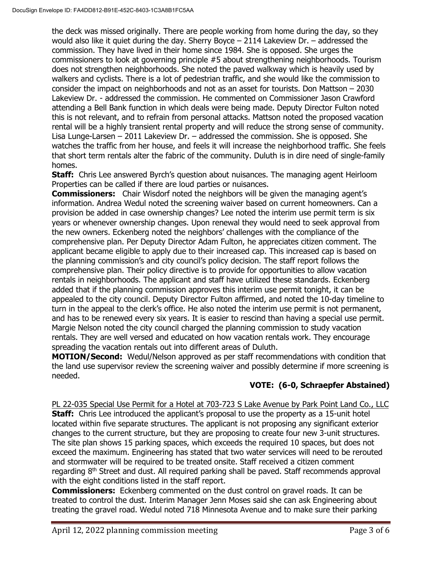the deck was missed originally. There are people working from home during the day, so they would also like it quiet during the day. Sherry Boyce  $-2114$  Lakeview Dr.  $-$  addressed the commission. They have lived in their home since 1984. She is opposed. She urges the commissioners to look at governing principle #5 about strengthening neighborhoods. Tourism does not strengthen neighborhoods. She noted the paved walkway which is heavily used by walkers and cyclists. There is a lot of pedestrian traffic, and she would like the commission to consider the impact on neighborhoods and not as an asset for tourists. Don Mattson – 2030 Lakeview Dr. - addressed the commission. He commented on Commissioner Jason Crawford attending a Bell Bank function in which deals were being made. Deputy Director Fulton noted this is not relevant, and to refrain from personal attacks. Mattson noted the proposed vacation rental will be a highly transient rental property and will reduce the strong sense of community. Lisa Lunge-Larsen – 2011 Lakeview Dr. – addressed the commission. She is opposed. She watches the traffic from her house, and feels it will increase the neighborhood traffic. She feels that short term rentals alter the fabric of the community. Duluth is in dire need of single-family homes.

**Staff:** Chris Lee answered Byrch's question about nuisances. The managing agent Heirloom Properties can be called if there are loud parties or nuisances.

**Commissioners:** Chair Wisdorf noted the neighbors will be given the managing agent's information. Andrea Wedul noted the screening waiver based on current homeowners. Can a provision be added in case ownership changes? Lee noted the interim use permit term is six years or whenever ownership changes. Upon renewal they would need to seek approval from the new owners. Eckenberg noted the neighbors' challenges with the compliance of the comprehensive plan. Per Deputy Director Adam Fulton, he appreciates citizen comment. The applicant became eligible to apply due to their increased cap. This increased cap is based on the planning commission's and city council's policy decision. The staff report follows the comprehensive plan. Their policy directive is to provide for opportunities to allow vacation rentals in neighborhoods. The applicant and staff have utilized these standards. Eckenberg added that if the planning commission approves this interim use permit tonight, it can be appealed to the city council. Deputy Director Fulton affirmed, and noted the 10-day timeline to turn in the appeal to the clerk's office. He also noted the interim use permit is not permanent, and has to be renewed every six years. It is easier to rescind than having a special use permit. Margie Nelson noted the city council charged the planning commission to study vacation rentals. They are well versed and educated on how vacation rentals work. They encourage spreading the vacation rentals out into different areas of Duluth.

**MOTION/Second:** Wedul/Nelson approved as per staff recommendations with condition that the land use supervisor review the screening waiver and possibly determine if more screening is needed.

# **VOTE: (6-0, Schraepfer Abstained)**

PL 22-035 Special Use Permit for a Hotel at 703-723 S Lake Avenue by Park Point Land Co., LLC **Staff:** Chris Lee introduced the applicant's proposal to use the property as a 15-unit hotel located within five separate structures. The applicant is not proposing any significant exterior changes to the current structure, but they are proposing to create four new 3-unit structures. The site plan shows 15 parking spaces, which exceeds the required 10 spaces, but does not exceed the maximum. Engineering has stated that two water services will need to be rerouted and stormwater will be required to be treated onsite. Staff received a citizen comment regarding  $8<sup>th</sup>$  Street and dust. All required parking shall be paved. Staff recommends approval with the eight conditions listed in the staff report.

**Commissioners:** Eckenberg commented on the dust control on gravel roads. It can be treated to control the dust. Interim Manager Jenn Moses said she can ask Engineering about treating the gravel road. Wedul noted 718 Minnesota Avenue and to make sure their parking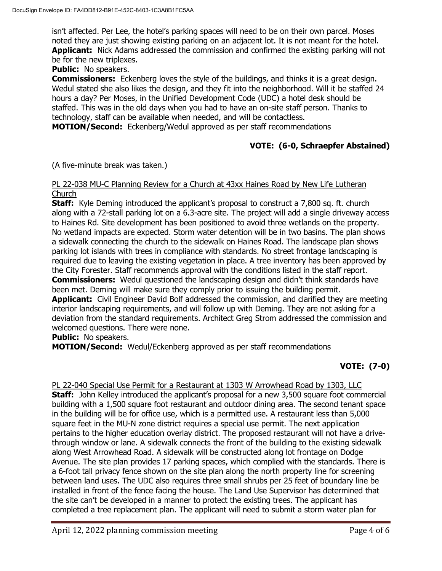isn't affected. Per Lee, the hotel's parking spaces will need to be on their own parcel. Moses noted they are just showing existing parking on an adjacent lot. It is not meant for the hotel. **Applicant:** Nick Adams addressed the commission and confirmed the existing parking will not be for the new triplexes.

#### **Public:** No speakers.

**Commissioners:** Eckenberg loves the style of the buildings, and thinks it is a great design. Wedul stated she also likes the design, and they fit into the neighborhood. Will it be staffed 24 hours a day? Per Moses, in the Unified Development Code (UDC) a hotel desk should be staffed. This was in the old days when you had to have an on-site staff person. Thanks to technology, staff can be available when needed, and will be contactless.

**MOTION/Second:** Eckenberg/Wedul approved as per staff recommendations

## **VOTE: (6-0, Schraepfer Abstained)**

(A five-minute break was taken.)

#### PL 22-038 MU-C Planning Review for a Church at 43xx Haines Road by New Life Lutheran Church

**Staff:** Kyle Deming introduced the applicant's proposal to construct a 7,800 sq. ft. church along with a 72-stall parking lot on a 6.3-acre site. The project will add a single driveway access to Haines Rd. Site development has been positioned to avoid three wetlands on the property. No wetland impacts are expected. Storm water detention will be in two basins. The plan shows a sidewalk connecting the church to the sidewalk on Haines Road. The landscape plan shows parking lot islands with trees in compliance with standards. No street frontage landscaping is required due to leaving the existing vegetation in place. A tree inventory has been approved by the City Forester. Staff recommends approval with the conditions listed in the staff report. **Commissioners:** Wedul questioned the landscaping design and didn't think standards have been met. Deming will make sure they comply prior to issuing the building permit. **Applicant:** Civil Engineer David Bolf addressed the commission, and clarified they are meeting interior landscaping requirements, and will follow up with Deming. They are not asking for a deviation from the standard requirements. Architect Greg Strom addressed the commission and welcomed questions. There were none.

**Public:** No speakers.

**MOTION/Second:** Wedul/Eckenberg approved as per staff recommendations

# **VOTE: (7-0)**

PL 22-040 Special Use Permit for a Restaurant at 1303 W Arrowhead Road by 1303, LLC **Staff:** John Kelley introduced the applicant's proposal for a new 3,500 square foot commercial building with a 1,500 square foot restaurant and outdoor dining area. The second tenant space in the building will be for office use, which is a permitted use. A restaurant less than 5,000 square feet in the MU-N zone district requires a special use permit. The next application pertains to the higher education overlay district. The proposed restaurant will not have a drivethrough window or lane. A sidewalk connects the front of the building to the existing sidewalk along West Arrowhead Road. A sidewalk will be constructed along lot frontage on Dodge Avenue. The site plan provides 17 parking spaces, which complied with the standards. There is a 6-foot tall privacy fence shown on the site plan along the north property line for screening between land uses. The UDC also requires three small shrubs per 25 feet of boundary line be installed in front of the fence facing the house. The Land Use Supervisor has determined that the site can't be developed in a manner to protect the existing trees. The applicant has completed a tree replacement plan. The applicant will need to submit a storm water plan for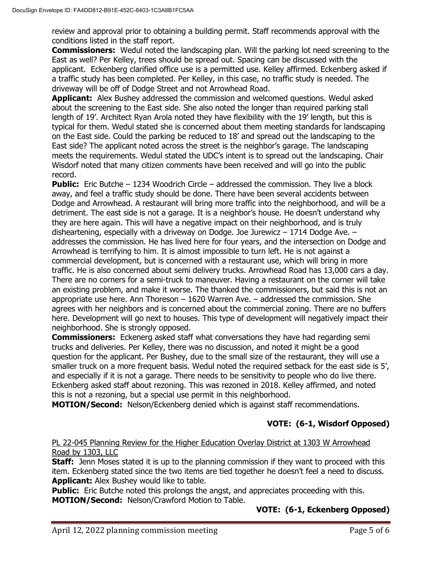review and approval prior to obtaining a building permit. Staff recommends approval with the conditions listed in the staff report.

**Commissioners:** Wedul noted the landscaping plan. Will the parking lot need screening to the East as well? Per Kelley, trees should be spread out. Spacing can be discussed with the applicant. Eckenberg clarified office use is a permitted use. Kelley affirmed. Eckenberg asked if a traffic study has been completed. Per Kelley, in this case, no traffic study is needed. The driveway will be off of Dodge Street and not Arrowhead Road.

**Applicant:** Alex Bushey addressed the commission and welcomed questions. Wedul asked about the screening to the East side. She also noted the longer than required parking stall length of 19'. Architect Ryan Arola noted they have flexibility with the 19' length, but this is typical for them. Wedul stated she is concerned about them meeting standards for landscaping on the East side. Could the parking be reduced to 18' and spread out the landscaping to the East side? The applicant noted across the street is the neighbor's garage. The landscaping meets the requirements. Wedul stated the UDC's intent is to spread out the landscaping. Chair Wisdorf noted that many citizen comments have been received and will go into the public record.

**Public:** Eric Butche – 1234 Woodrich Circle – addressed the commission. They live a block away, and feel a traffic study should be done. There have been several accidents between Dodge and Arrowhead. A restaurant will bring more traffic into the neighborhood, and will be a detriment. The east side is not a garage. It is a neighbor's house. He doesn't understand why they are here again. This will have a negative impact on their neighborhood, and is truly disheartening, especially with a driveway on Dodge. Joe Jurewicz  $-1714$  Dodge Ave.  $$ addresses the commission. He has lived here for four years, and the intersection on Dodge and Arrowhead is terrifying to him. It is almost impossible to turn left. He is not against a commercial development, but is concerned with a restaurant use, which will bring in more traffic. He is also concerned about semi delivery trucks. Arrowhead Road has 13,000 cars a day. There are no corners for a semi-truck to maneuver. Having a restaurant on the corner will take an existing problem, and make it worse. The thanked the commissioners, but said this is not an appropriate use here. Ann Thoreson – 1620 Warren Ave. – addressed the commission. She agrees with her neighbors and is concerned about the commercial zoning. There are no buffers here. Development will go next to houses. This type of development will negatively impact their neighborhood. She is strongly opposed.

**Commissioners:** Eckenerg asked staff what conversations they have had regarding semi trucks and deliveries. Per Kelley, there was no discussion, and noted it might be a good question for the applicant. Per Bushey, due to the small size of the restaurant, they will use a smaller truck on a more frequent basis. Wedul noted the required setback for the east side is 5', and especially if it is not a garage. There needs to be sensitivity to people who do live there. Eckenberg asked staff about rezoning. This was rezoned in 2018. Kelley affirmed, and noted this is not a rezoning, but a special use permit in this neighborhood.

**MOTION/Second:** Nelson/Eckenberg denied which is against staff recommendations.

# **VOTE: (6-1, Wisdorf Opposed)**

## PL 22-045 Planning Review for the Higher Education Overlay District at 1303 W Arrowhead Road by 1303, LLC

**Staff:** Jenn Moses stated it is up to the planning commission if they want to proceed with this item. Eckenberg stated since the two items are tied together he doesn't feel a need to discuss. **Applicant:** Alex Bushey would like to table.

**Public:** Eric Butche noted this prolongs the angst, and appreciates proceeding with this. **MOTION/Second:** Nelson/Crawford Motion to Table.

# **VOTE: (6-1, Eckenberg Opposed)**